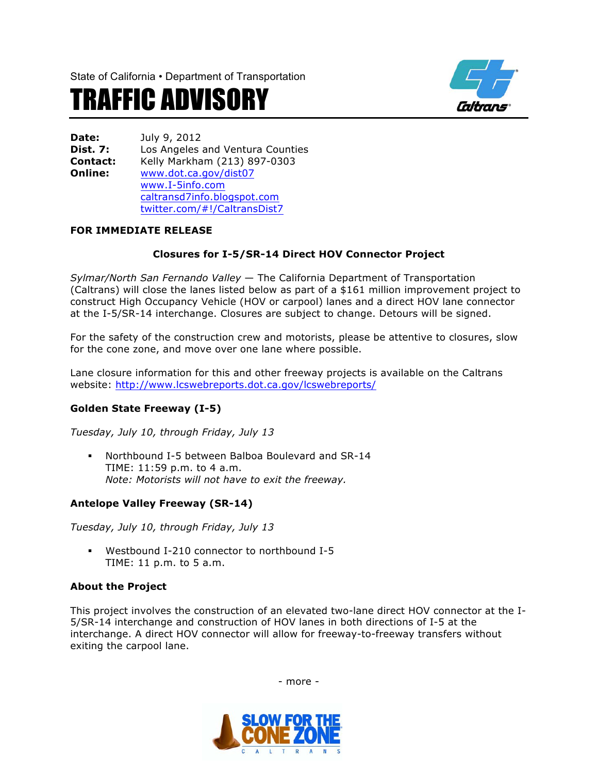State of California • Department of Transportation





**Date:** July 9, 2012 **Dist. 7:** Los Angeles and Ventura Counties **Contact:** Kelly Markham (213) 897-0303 **Online:** www.dot.ca.gov/dist07 www.I-5info.com caltransd7info.blogspot.com twitter.com/#!/CaltransDist7

## **FOR IMMEDIATE RELEASE**

## **Closures for I-5/SR-14 Direct HOV Connector Project**

*Sylmar/North San Fernando Valley* — The California Department of Transportation (Caltrans) will close the lanes listed below as part of a \$161 million improvement project to construct High Occupancy Vehicle (HOV or carpool) lanes and a direct HOV lane connector at the I-5/SR-14 interchange. Closures are subject to change. Detours will be signed.

For the safety of the construction crew and motorists, please be attentive to closures, slow for the cone zone, and move over one lane where possible.

Lane closure information for this and other freeway projects is available on the Caltrans website: http://www.lcswebreports.dot.ca.gov/lcswebreports/

# **Golden State Freeway (I-5)**

*Tuesday, July 10, through Friday, July 13*

§ Northbound I-5 between Balboa Boulevard and SR-14 TIME: 11:59 p.m. to 4 a.m. *Note: Motorists will not have to exit the freeway.* 

## **Antelope Valley Freeway (SR-14)**

*Tuesday, July 10, through Friday, July 13*

§ Westbound I-210 connector to northbound I-5 TIME: 11 p.m. to 5 a.m.

## **About the Project**

This project involves the construction of an elevated two-lane direct HOV connector at the I-5/SR-14 interchange and construction of HOV lanes in both directions of I-5 at the interchange. A direct HOV connector will allow for freeway-to-freeway transfers without exiting the carpool lane.



- more -